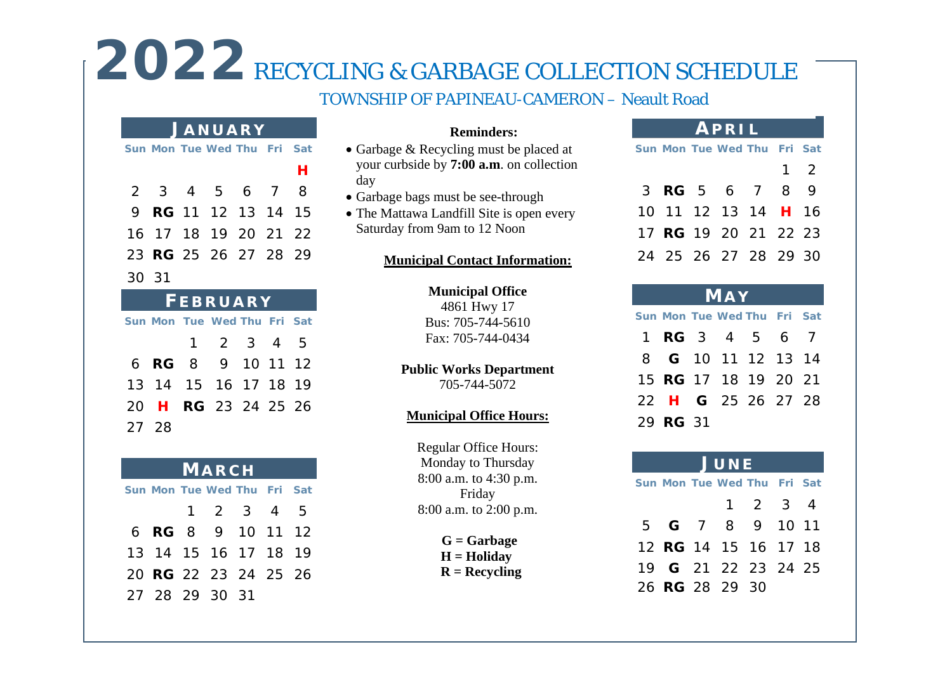# 2022 RECYCLING & GARBAGE COLLECTION SCHEDULE

### TOWNSHIP OF PAPINEAU-CAMERON – Neault Road

### **J ANUARY**

|                |  |  | Sun Mon Tue Wed Thu Fri Sat |  |  |   |  |
|----------------|--|--|-----------------------------|--|--|---|--|
|                |  |  |                             |  |  | н |  |
|                |  |  | 2 3 4 5 6 7 8               |  |  |   |  |
|                |  |  | 9 <b>RG</b> 11 12 13 14 15  |  |  |   |  |
|                |  |  | 16 17 18 19 20 21 22        |  |  |   |  |
|                |  |  | 23 RG 25 26 27 28 29        |  |  |   |  |
| 30 31          |  |  |                             |  |  |   |  |
| <b>CDDUADV</b> |  |  |                             |  |  |   |  |

| FEBRUARY |  |  |                             |  |  |  |  |  |
|----------|--|--|-----------------------------|--|--|--|--|--|
|          |  |  | Sun Mon Tue Wed Thu Fri Sat |  |  |  |  |  |
|          |  |  | $1 \t2 \t3 \t4 \t5$         |  |  |  |  |  |
|          |  |  | 6 <b>RG</b> 8 9 10 11 12    |  |  |  |  |  |
|          |  |  | 13 14 15 16 17 18 19        |  |  |  |  |  |
|          |  |  | 20 H RG 23 24 25 26         |  |  |  |  |  |
| 27 28    |  |  |                             |  |  |  |  |  |

| <b>MARCH</b> |  |  |                             |  |  |  |  |  |
|--------------|--|--|-----------------------------|--|--|--|--|--|
|              |  |  | Sun Mon Tue Wed Thu Fri Sat |  |  |  |  |  |
|              |  |  | $1 \t2 \t3 \t4 \t5$         |  |  |  |  |  |
|              |  |  | 6 <b>RG</b> 8 9 10 11 12    |  |  |  |  |  |
|              |  |  | 13 14 15 16 17 18 19        |  |  |  |  |  |
|              |  |  | 20 <b>RG</b> 22 23 24 25 26 |  |  |  |  |  |
|              |  |  | 27 28 29 30 31              |  |  |  |  |  |

### **Reminders:**

- Garbage & Recycling must be placed at your curbside by **7:00 a.m**. on collection day
- Garbage bags must be see-through
- The Mattawa Landfill Site is open every Saturday from 9am to 12 Noon

### **Municipal Contact Information:**

### **Municipal Office**

4861 Hwy 17 Bus: 705-744-5610 Fax: 705-744-0434

### **Public Works Department**

705-744-5072

### **Municipal Office Hours:**

Regular Office Hours: Monday to Thursday 8:00 a.m. to 4:30 p.m. Friday 8:00 a.m. to 2:00 p.m.

> **G = Garbage H = Holiday R = Recycling**

### **APRIL**

|  | Sun Mon Tue Wed Thu Fri Sat |  |             |
|--|-----------------------------|--|-------------|
|  |                             |  | $1 \quad 2$ |
|  | 3 <b>RG</b> 5 6 7 8 9       |  |             |
|  | 10 11 12 13 14 H 16         |  |             |
|  | 17 RG 19 20 21 22 23        |  |             |
|  | 24 25 26 27 28 29 30        |  |             |

| <b>MAY</b>                  |                             |  |  |  |  |  |  |  |
|-----------------------------|-----------------------------|--|--|--|--|--|--|--|
| Sun Mon Tue Wed Thu Fri Sat |                             |  |  |  |  |  |  |  |
|                             | 1 <b>RG</b> 3 4 5 6 7       |  |  |  |  |  |  |  |
|                             | 8 G 10 11 12 13 14          |  |  |  |  |  |  |  |
|                             | 15 <b>RG</b> 17 18 19 20 21 |  |  |  |  |  |  |  |
|                             | 22 H G 25 26 27 28          |  |  |  |  |  |  |  |
|                             | 29 RG 31                    |  |  |  |  |  |  |  |

### **J UNE Sun Mon Tue Wed Thu Fri Sat** 1 2 3 4

| 5 <b>G</b> 7 8 9 10 11      |  |  |  |
|-----------------------------|--|--|--|
| 12 <b>RG</b> 14 15 16 17 18 |  |  |  |
| 19 <b>G</b> 21 22 23 24 25  |  |  |  |
| 26 RG 28 29 30              |  |  |  |